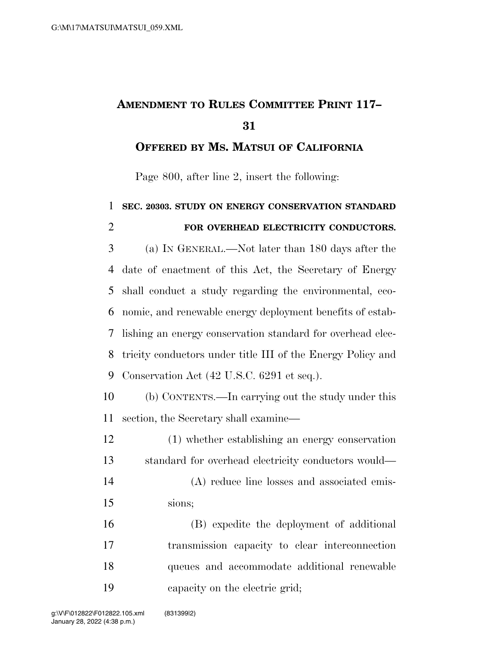## **AMENDMENT TO RULES COMMITTEE PRINT 117–**

**OFFERED BY MS. MATSUI OF CALIFORNIA**

Page 800, after line 2, insert the following:

 **SEC. 20303. STUDY ON ENERGY CONSERVATION STANDARD FOR OVERHEAD ELECTRICITY CONDUCTORS.**  (a) IN GENERAL.—Not later than 180 days after the date of enactment of this Act, the Secretary of Energy shall conduct a study regarding the environmental, eco- nomic, and renewable energy deployment benefits of estab- lishing an energy conservation standard for overhead elec- tricity conductors under title III of the Energy Policy and Conservation Act (42 U.S.C. 6291 et seq.). (b) CONTENTS.—In carrying out the study under this section, the Secretary shall examine— (1) whether establishing an energy conservation standard for overhead electricity conductors would— (A) reduce line losses and associated emis- sions; (B) expedite the deployment of additional transmission capacity to clear interconnection queues and accommodate additional renewable capacity on the electric grid;